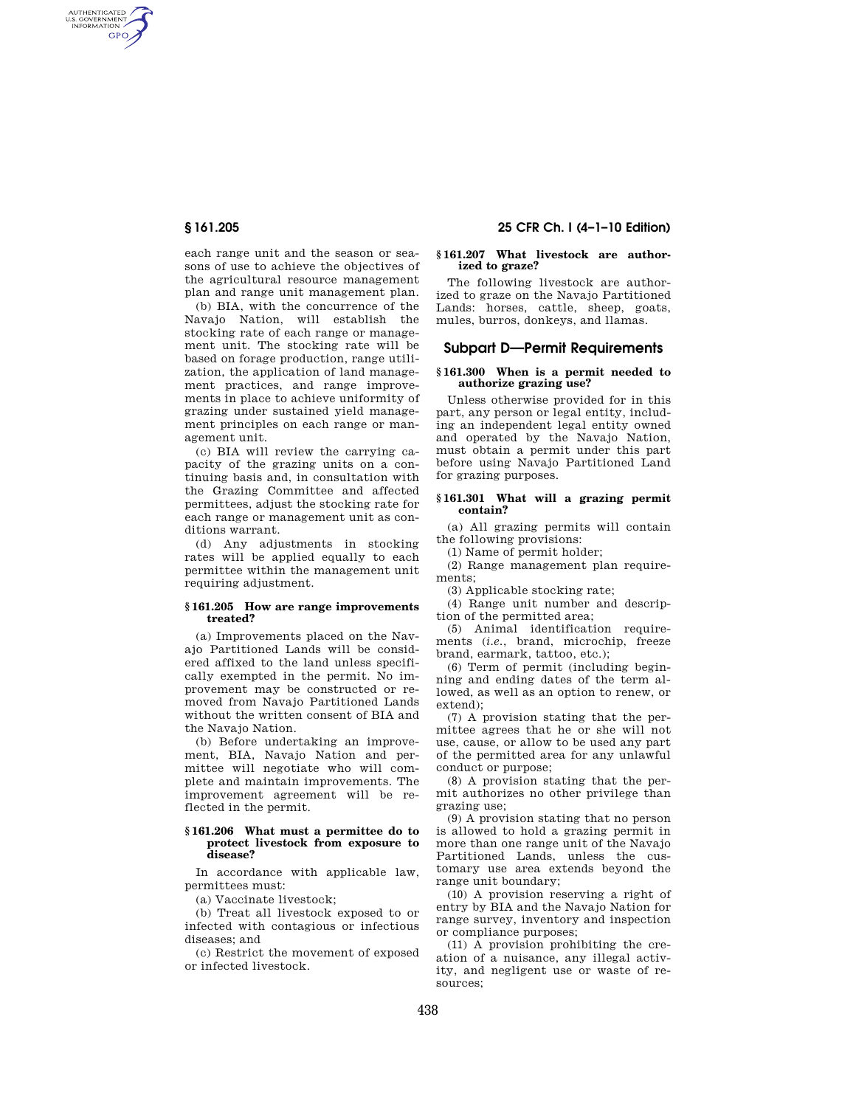AUTHENTICATED<br>U.S. GOVERNMENT<br>INFORMATION GPO

> each range unit and the season or seasons of use to achieve the objectives of the agricultural resource management plan and range unit management plan.

> (b) BIA, with the concurrence of the Navajo Nation, will establish the stocking rate of each range or management unit. The stocking rate will be based on forage production, range utilization, the application of land management practices, and range improvements in place to achieve uniformity of grazing under sustained yield management principles on each range or management unit.

> (c) BIA will review the carrying capacity of the grazing units on a continuing basis and, in consultation with the Grazing Committee and affected permittees, adjust the stocking rate for each range or management unit as conditions warrant.

> (d) Any adjustments in stocking rates will be applied equally to each permittee within the management unit requiring adjustment.

#### **§ 161.205 How are range improvements treated?**

(a) Improvements placed on the Navajo Partitioned Lands will be considered affixed to the land unless specifically exempted in the permit. No improvement may be constructed or removed from Navajo Partitioned Lands without the written consent of BIA and the Navajo Nation.

(b) Before undertaking an improvement, BIA, Navajo Nation and permittee will negotiate who will complete and maintain improvements. The improvement agreement will be reflected in the permit.

#### **§ 161.206 What must a permittee do to protect livestock from exposure to disease?**

In accordance with applicable law, permittees must:

(a) Vaccinate livestock;

(b) Treat all livestock exposed to or infected with contagious or infectious diseases; and

(c) Restrict the movement of exposed or infected livestock.

# **§ 161.205 25 CFR Ch. I (4–1–10 Edition)**

### **§ 161.207 What livestock are authorized to graze?**

The following livestock are authorized to graze on the Navajo Partitioned Lands: horses, cattle, sheep, goats, mules, burros, donkeys, and llamas.

# **Subpart D—Permit Requirements**

#### **§ 161.300 When is a permit needed to authorize grazing use?**

Unless otherwise provided for in this part, any person or legal entity, including an independent legal entity owned and operated by the Navajo Nation, must obtain a permit under this part before using Navajo Partitioned Land for grazing purposes.

# **§ 161.301 What will a grazing permit contain?**

(a) All grazing permits will contain the following provisions:

(1) Name of permit holder;

(2) Range management plan requirements;

(3) Applicable stocking rate;

(4) Range unit number and description of the permitted area;

(5) Animal identification requirements (*i.e.*, brand, microchip, freeze brand, earmark, tattoo, etc.);

(6) Term of permit (including beginning and ending dates of the term allowed, as well as an option to renew, or extend);

(7) A provision stating that the permittee agrees that he or she will not use, cause, or allow to be used any part of the permitted area for any unlawful conduct or purpose;

(8) A provision stating that the permit authorizes no other privilege than grazing use;

(9) A provision stating that no person is allowed to hold a grazing permit in more than one range unit of the Navajo Partitioned Lands, unless the customary use area extends beyond the range unit boundary;

(10) A provision reserving a right of entry by BIA and the Navajo Nation for range survey, inventory and inspection or compliance purposes;

(11) A provision prohibiting the creation of a nuisance, any illegal activity, and negligent use or waste of resources;